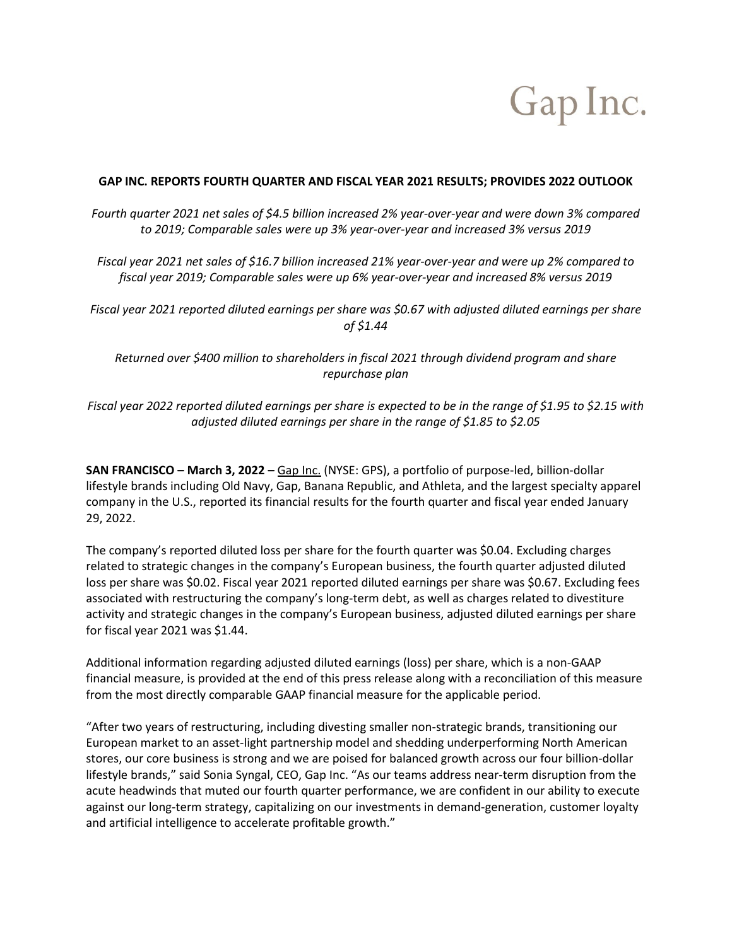# Gap Inc.

### **GAP INC. REPORTS FOURTH QUARTER AND FISCAL YEAR 2021 RESULTS; PROVIDES 2022 OUTLOOK**

*Fourth quarter 2021 net sales of \$4.5 billion increased 2% year-over-year and were down 3% compared to 2019; Comparable sales were up 3% year-over-year and increased 3% versus 2019*

*Fiscal year 2021 net sales of \$16.7 billion increased 21% year-over-year and were up 2% compared to fiscal year 2019; Comparable sales were up 6% year-over-year and increased 8% versus 2019*

*Fiscal year 2021 reported diluted earnings per share was \$0.67 with adjusted diluted earnings per share of \$1.44*

*Returned over \$400 million to shareholders in fiscal 2021 through dividend program and share repurchase plan*

*Fiscal year 2022 reported diluted earnings per share is expected to be in the range of \$1.95 to \$2.15 with adjusted diluted earnings per share in the range of \$1.85 to \$2.05*

**SAN FRANCISCO – March 3, 2022 –** [Gap Inc.](http://www.gapinc.com/) (NYSE: GPS), a portfolio of purpose-led, billion-dollar lifestyle brands including Old Navy, Gap, Banana Republic, and Athleta, and the largest specialty apparel company in the U.S., reported its financial results for the fourth quarter and fiscal year ended January 29, 2022.

The company's reported diluted loss per share for the fourth quarter was \$0.04. Excluding charges related to strategic changes in the company's European business, the fourth quarter adjusted diluted loss per share was \$0.02. Fiscal year 2021 reported diluted earnings per share was \$0.67. Excluding fees associated with restructuring the company's long-term debt, as well as charges related to divestiture activity and strategic changes in the company's European business, adjusted diluted earnings per share for fiscal year 2021 was \$1.44.

Additional information regarding adjusted diluted earnings (loss) per share, which is a non-GAAP financial measure, is provided at the end of this press release along with a reconciliation of this measure from the most directly comparable GAAP financial measure for the applicable period.

"After two years of restructuring, including divesting smaller non-strategic brands, transitioning our European market to an asset-light partnership model and shedding underperforming North American stores, our core business is strong and we are poised for balanced growth across our four billion-dollar lifestyle brands," said Sonia Syngal, CEO, Gap Inc. "As our teams address near-term disruption from the acute headwinds that muted our fourth quarter performance, we are confident in our ability to execute against our long-term strategy, capitalizing on our investments in demand-generation, customer loyalty and artificial intelligence to accelerate profitable growth."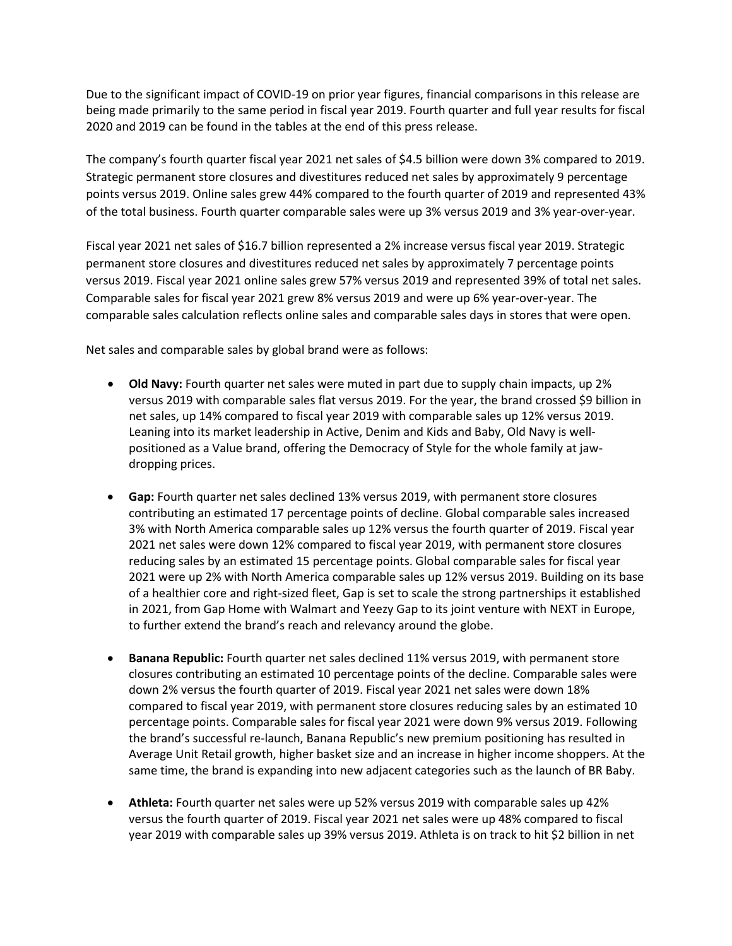Due to the significant impact of COVID-19 on prior year figures, financial comparisons in this release are being made primarily to the same period in fiscal year 2019. Fourth quarter and full year results for fiscal 2020 and 2019 can be found in the tables at the end of this press release.

The company's fourth quarter fiscal year 2021 net sales of \$4.5 billion were down 3% compared to 2019. Strategic permanent store closures and divestitures reduced net sales by approximately 9 percentage points versus 2019. Online sales grew 44% compared to the fourth quarter of 2019 and represented 43% of the total business. Fourth quarter comparable sales were up 3% versus 2019 and 3% year-over-year.

Fiscal year 2021 net sales of \$16.7 billion represented a 2% increase versus fiscal year 2019. Strategic permanent store closures and divestitures reduced net sales by approximately 7 percentage points versus 2019. Fiscal year 2021 online sales grew 57% versus 2019 and represented 39% of total net sales. Comparable sales for fiscal year 2021 grew 8% versus 2019 and were up 6% year-over-year. The comparable sales calculation reflects online sales and comparable sales days in stores that were open.

Net sales and comparable sales by global brand were as follows:

- **Old Navy:** Fourth quarter net sales were muted in part due to supply chain impacts, up 2% versus 2019 with comparable sales flat versus 2019. For the year, the brand crossed \$9 billion in net sales, up 14% compared to fiscal year 2019 with comparable sales up 12% versus 2019. Leaning into its market leadership in Active, Denim and Kids and Baby, Old Navy is wellpositioned as a Value brand, offering the Democracy of Style for the whole family at jawdropping prices.
- **Gap:** Fourth quarter net sales declined 13% versus 2019, with permanent store closures contributing an estimated 17 percentage points of decline. Global comparable sales increased 3% with North America comparable sales up 12% versus the fourth quarter of 2019. Fiscal year 2021 net sales were down 12% compared to fiscal year 2019, with permanent store closures reducing sales by an estimated 15 percentage points. Global comparable sales for fiscal year 2021 were up 2% with North America comparable sales up 12% versus 2019. Building on its base of a healthier core and right-sized fleet, Gap is set to scale the strong partnerships it established in 2021, from Gap Home with Walmart and Yeezy Gap to its joint venture with NEXT in Europe, to further extend the brand's reach and relevancy around the globe.
- **Banana Republic:** Fourth quarter net sales declined 11% versus 2019, with permanent store closures contributing an estimated 10 percentage points of the decline. Comparable sales were down 2% versus the fourth quarter of 2019. Fiscal year 2021 net sales were down 18% compared to fiscal year 2019, with permanent store closures reducing sales by an estimated 10 percentage points. Comparable sales for fiscal year 2021 were down 9% versus 2019. Following the brand's successful re-launch, Banana Republic's new premium positioning has resulted in Average Unit Retail growth, higher basket size and an increase in higher income shoppers. At the same time, the brand is expanding into new adjacent categories such as the launch of BR Baby.
- **Athleta:** Fourth quarter net sales were up 52% versus 2019 with comparable sales up 42% versus the fourth quarter of 2019. Fiscal year 2021 net sales were up 48% compared to fiscal year 2019 with comparable sales up 39% versus 2019. Athleta is on track to hit \$2 billion in net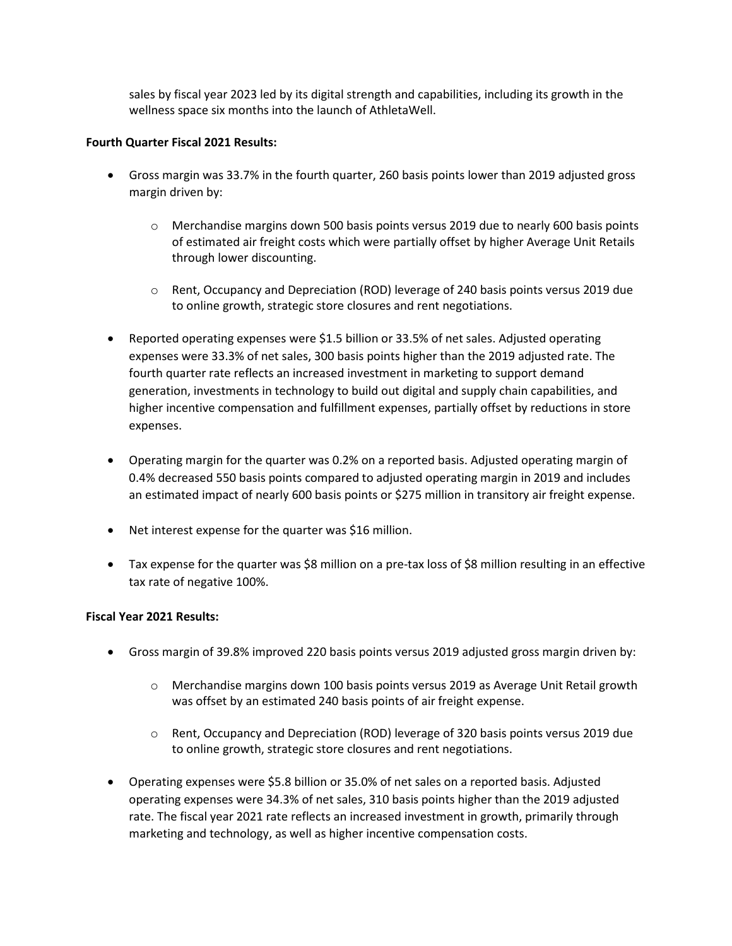sales by fiscal year 2023 led by its digital strength and capabilities, including its growth in the wellness space six months into the launch of AthletaWell.

### **Fourth Quarter Fiscal 2021 Results:**

- Gross margin was 33.7% in the fourth quarter, 260 basis points lower than 2019 adjusted gross margin driven by:
	- o Merchandise margins down 500 basis points versus 2019 due to nearly 600 basis points of estimated air freight costs which were partially offset by higher Average Unit Retails through lower discounting.
	- o Rent, Occupancy and Depreciation (ROD) leverage of 240 basis points versus 2019 due to online growth, strategic store closures and rent negotiations.
- Reported operating expenses were \$1.5 billion or 33.5% of net sales. Adjusted operating expenses were 33.3% of net sales, 300 basis points higher than the 2019 adjusted rate. The fourth quarter rate reflects an increased investment in marketing to support demand generation, investments in technology to build out digital and supply chain capabilities, and higher incentive compensation and fulfillment expenses, partially offset by reductions in store expenses.
- Operating margin for the quarter was 0.2% on a reported basis. Adjusted operating margin of 0.4% decreased 550 basis points compared to adjusted operating margin in 2019 and includes an estimated impact of nearly 600 basis points or \$275 million in transitory air freight expense.
- Net interest expense for the quarter was \$16 million.
- Tax expense for the quarter was \$8 million on a pre-tax loss of \$8 million resulting in an effective tax rate of negative 100%.

### **Fiscal Year 2021 Results:**

- Gross margin of 39.8% improved 220 basis points versus 2019 adjusted gross margin driven by:
	- o Merchandise margins down 100 basis points versus 2019 as Average Unit Retail growth was offset by an estimated 240 basis points of air freight expense.
	- o Rent, Occupancy and Depreciation (ROD) leverage of 320 basis points versus 2019 due to online growth, strategic store closures and rent negotiations.
- Operating expenses were \$5.8 billion or 35.0% of net sales on a reported basis. Adjusted operating expenses were 34.3% of net sales, 310 basis points higher than the 2019 adjusted rate. The fiscal year 2021 rate reflects an increased investment in growth, primarily through marketing and technology, as well as higher incentive compensation costs.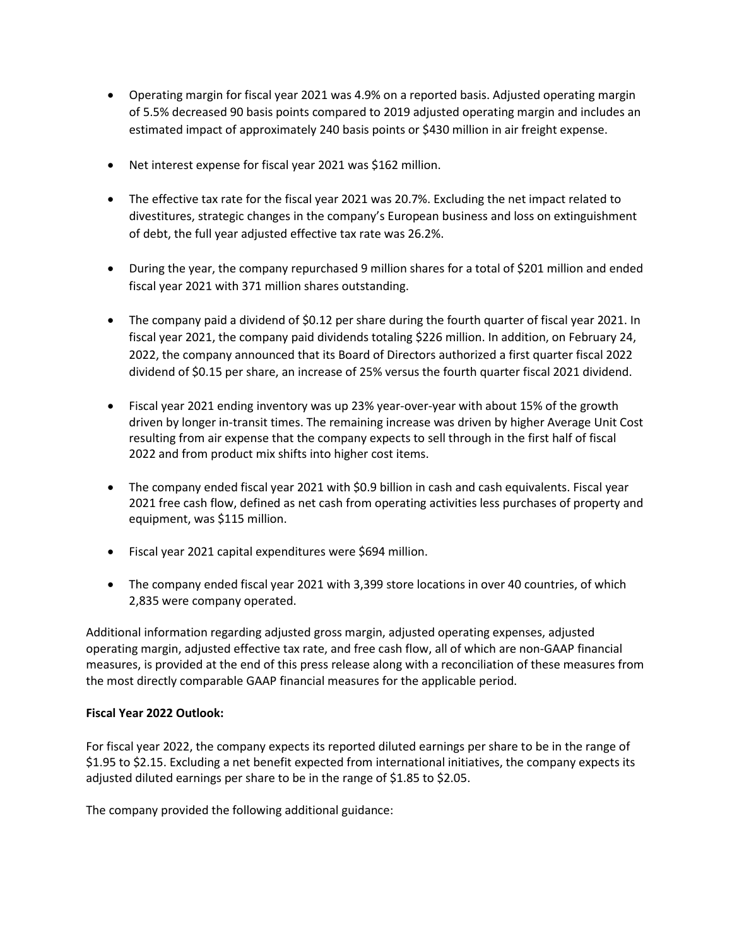- Operating margin for fiscal year 2021 was 4.9% on a reported basis. Adjusted operating margin of 5.5% decreased 90 basis points compared to 2019 adjusted operating margin and includes an estimated impact of approximately 240 basis points or \$430 million in air freight expense.
- Net interest expense for fiscal year 2021 was \$162 million.
- The effective tax rate for the fiscal year 2021 was 20.7%. Excluding the net impact related to divestitures, strategic changes in the company's European business and loss on extinguishment of debt, the full year adjusted effective tax rate was 26.2%.
- During the year, the company repurchased 9 million shares for a total of \$201 million and ended fiscal year 2021 with 371 million shares outstanding.
- The company paid a dividend of \$0.12 per share during the fourth quarter of fiscal year 2021. In fiscal year 2021, the company paid dividends totaling \$226 million. In addition, on February 24, 2022, the company announced that its Board of Directors authorized a first quarter fiscal 2022 dividend of \$0.15 per share, an increase of 25% versus the fourth quarter fiscal 2021 dividend.
- Fiscal year 2021 ending inventory was up 23% year-over-year with about 15% of the growth driven by longer in-transit times. The remaining increase was driven by higher Average Unit Cost resulting from air expense that the company expects to sell through in the first half of fiscal 2022 and from product mix shifts into higher cost items.
- The company ended fiscal year 2021 with \$0.9 billion in cash and cash equivalents. Fiscal year 2021 free cash flow, defined as net cash from operating activities less purchases of property and equipment, was \$115 million.
- Fiscal year 2021 capital expenditures were \$694 million.
- The company ended fiscal year 2021 with 3,399 store locations in over 40 countries, of which 2,835 were company operated.

Additional information regarding adjusted gross margin, adjusted operating expenses, adjusted operating margin, adjusted effective tax rate, and free cash flow, all of which are non-GAAP financial measures, is provided at the end of this press release along with a reconciliation of these measures from the most directly comparable GAAP financial measures for the applicable period.

# **Fiscal Year 2022 Outlook:**

For fiscal year 2022, the company expects its reported diluted earnings per share to be in the range of \$1.95 to \$2.15. Excluding a net benefit expected from international initiatives, the company expects its adjusted diluted earnings per share to be in the range of \$1.85 to \$2.05.

The company provided the following additional guidance: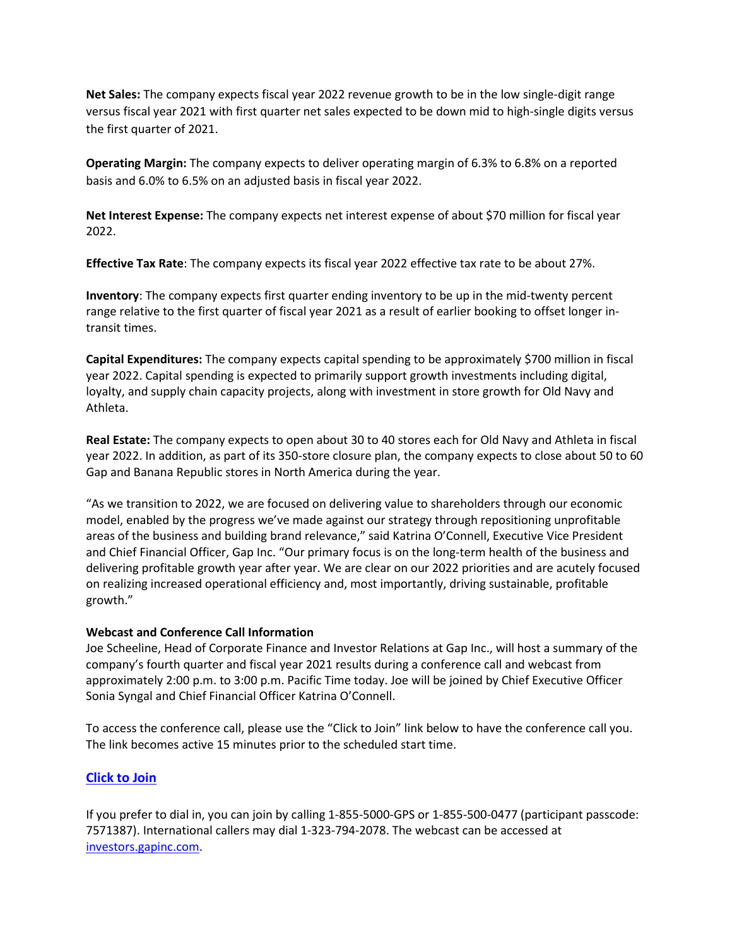**Net Sales:** The company expects fiscal year 2022 revenue growth to be in the low single-digit range versus fiscal year 2021 with first quarter net sales expected to be down mid to high-single digits versus the first quarter of 2021.

**Operating Margin:** The company expects to deliver operating margin of 6.3% to 6.8% on a reported basis and 6.0% to 6.5% on an adjusted basis in fiscal year 2022.

**Net Interest Expense:** The company expects net interest expense of about \$70 million for fiscal year 2022.

**Effective Tax Rate**: The company expects its fiscal year 2022 effective tax rate to be about 27%.

**Inventory**: The company expects first quarter ending inventory to be up in the mid-twenty percent range relative to the first quarter of fiscal year 2021 as a result of earlier booking to offset longer intransit times.

**Capital Expenditures:** The company expects capital spending to be approximately \$700 million in fiscal year 2022. Capital spending is expected to primarily support growth investments including digital, loyalty, and supply chain capacity projects, along with investment in store growth for Old Navy and Athleta.

**Real Estate:** The company expects to open about 30 to 40 stores each for Old Navy and Athleta in fiscal year 2022. In addition, as part of its 350-store closure plan, the company expects to close about 50 to 60 Gap and Banana Republic stores in North America during the year.

"As we transition to 2022, we are focused on delivering value to shareholders through our economic model, enabled by the progress we've made against our strategy through repositioning unprofitable areas of the business and building brand relevance," said Katrina O'Connell, Executive Vice President and Chief Financial Officer, Gap Inc. "Our primary focus is on the long-term health of the business and delivering profitable growth year after year. We are clear on our 2022 priorities and are acutely focused on realizing increased operational efficiency and, most importantly, driving sustainable, profitable growth."

### **Webcast and Conference Call Information**

Joe Scheeline, Head of Corporate Finance and Investor Relations at Gap Inc., will host a summary of the company's fourth quarter and fiscal year 2021 results during a conference call and webcast from approximately 2:00 p.m. to 3:00 p.m. Pacific Time today. Joe will be joined by Chief Executive Officer Sonia Syngal and Chief Financial Officer Katrina O'Connell.

To access the conference call, please use the "Click to Join" link below to have the conference call you. The link becomes active 15 minutes prior to the scheduled start time.

### **[Click to Join](https://nam10.safelinks.protection.outlook.com/?url=https%3A%2F%2Fevents.globalmeet.com%2FPublic%2FClickToJoin%2FZW5jPW9raVZ0WUZBY1VZcWhQUlE2QlMrN05zaHl1NW5jVGVodEtGUTJ0WFZJNjVnWVUzT2lpRVI4dz09&data=04%7C01%7Cnina_bari%40gap.com%7C708b816422d04616635508d9d155ed43%7C348a129655b6466ea7af4ad1a1b79713%7C1%7C0%7C637770989254590329%7CUnknown%7CTWFpbGZsb3d8eyJWIjoiMC4wLjAwMDAiLCJQIjoiV2luMzIiLCJBTiI6Ik1haWwiLCJXVCI6Mn0%3D%7C3000&sdata=rNrShsme3SJ5iuyKwGkQpAZwHaMWpIoyDyyGtuKz%2FW8%3D&reserved=0)**

If you prefer to dial in, you can join by calling 1-855-5000-GPS or 1-855-500-0477 (participant passcode: 7571387). International callers may dial 1-323-794-2078. The webcast can be accessed at [investors.gapinc.com.](https://investors.gapinc.com/)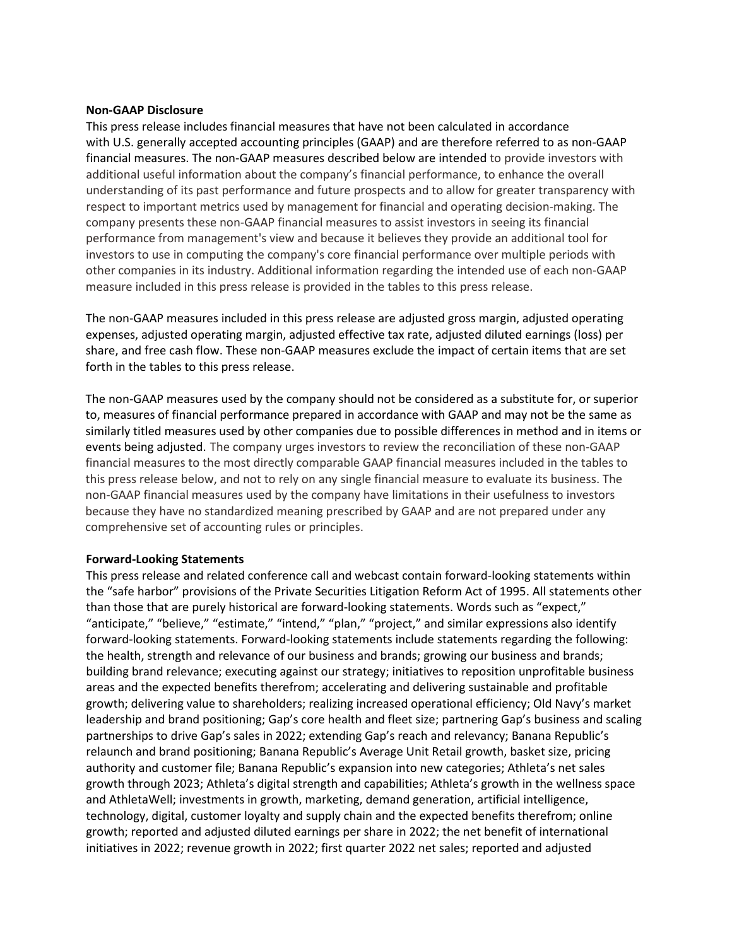#### **Non-GAAP Disclosure**

This press release includes financial measures that have not been calculated in accordance with U.S. generally accepted accounting principles (GAAP) and are therefore referred to as non-GAAP financial measures. The non-GAAP measures described below are intended to provide investors with additional useful information about the company's financial performance, to enhance the overall understanding of its past performance and future prospects and to allow for greater transparency with respect to important metrics used by management for financial and operating decision-making. The company presents these non-GAAP financial measures to assist investors in seeing its financial performance from management's view and because it believes they provide an additional tool for investors to use in computing the company's core financial performance over multiple periods with other companies in its industry. Additional information regarding the intended use of each non-GAAP measure included in this press release is provided in the tables to this press release.

The non-GAAP measures included in this press release are adjusted gross margin, adjusted operating expenses, adjusted operating margin, adjusted effective tax rate, adjusted diluted earnings (loss) per share, and free cash flow. These non-GAAP measures exclude the impact of certain items that are set forth in the tables to this press release.

The non-GAAP measures used by the company should not be considered as a substitute for, or superior to, measures of financial performance prepared in accordance with GAAP and may not be the same as similarly titled measures used by other companies due to possible differences in method and in items or events being adjusted. The company urges investors to review the reconciliation of these non-GAAP financial measures to the most directly comparable GAAP financial measures included in the tables to this press release below, and not to rely on any single financial measure to evaluate its business. The non-GAAP financial measures used by the company have limitations in their usefulness to investors because they have no standardized meaning prescribed by GAAP and are not prepared under any comprehensive set of accounting rules or principles.

#### **Forward-Looking Statements**

This press release and related conference call and webcast contain forward-looking statements within the "safe harbor" provisions of the Private Securities Litigation Reform Act of 1995. All statements other than those that are purely historical are forward-looking statements. Words such as "expect," "anticipate," "believe," "estimate," "intend," "plan," "project," and similar expressions also identify forward-looking statements. Forward-looking statements include statements regarding the following: the health, strength and relevance of our business and brands; growing our business and brands; building brand relevance; executing against our strategy; initiatives to reposition unprofitable business areas and the expected benefits therefrom; accelerating and delivering sustainable and profitable growth; delivering value to shareholders; realizing increased operational efficiency; Old Navy's market leadership and brand positioning; Gap's core health and fleet size; partnering Gap's business and scaling partnerships to drive Gap's sales in 2022; extending Gap's reach and relevancy; Banana Republic's relaunch and brand positioning; Banana Republic's Average Unit Retail growth, basket size, pricing authority and customer file; Banana Republic's expansion into new categories; Athleta's net sales growth through 2023; Athleta's digital strength and capabilities; Athleta's growth in the wellness space and AthletaWell; investments in growth, marketing, demand generation, artificial intelligence, technology, digital, customer loyalty and supply chain and the expected benefits therefrom; online growth; reported and adjusted diluted earnings per share in 2022; the net benefit of international initiatives in 2022; revenue growth in 2022; first quarter 2022 net sales; reported and adjusted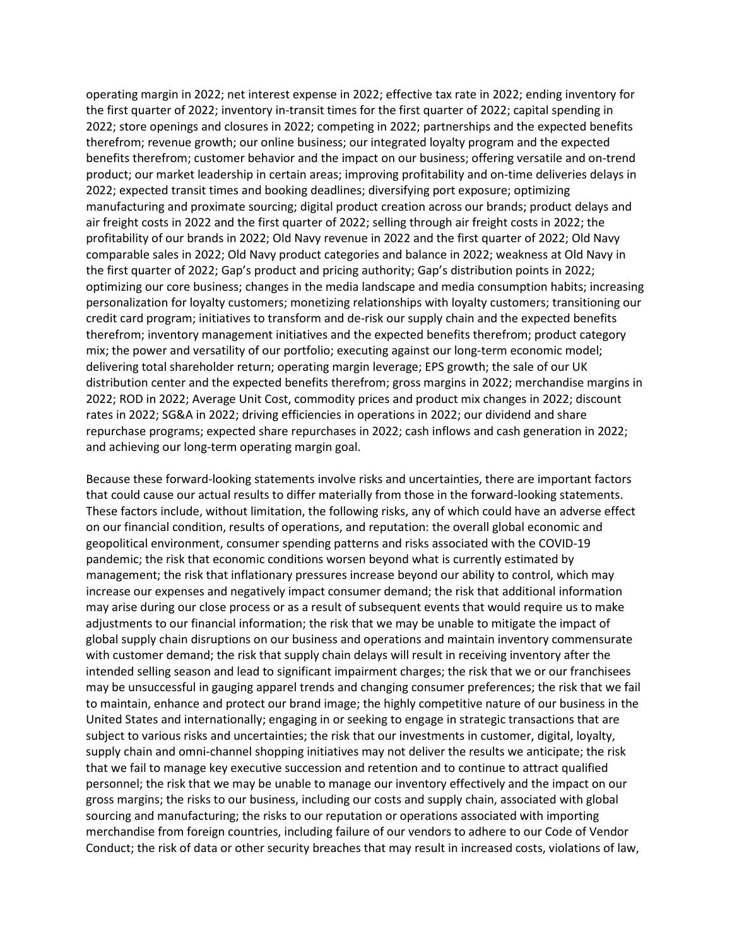operating margin in 2022; net interest expense in 2022; effective tax rate in 2022; ending inventory for the first quarter of 2022; inventory in-transit times for the first quarter of 2022; capital spending in 2022; store openings and closures in 2022; competing in 2022; partnerships and the expected benefits therefrom; revenue growth; our online business; our integrated loyalty program and the expected benefits therefrom; customer behavior and the impact on our business; offering versatile and on-trend product; our market leadership in certain areas; improving profitability and on-time deliveries delays in 2022; expected transit times and booking deadlines; diversifying port exposure; optimizing manufacturing and proximate sourcing; digital product creation across our brands; product delays and air freight costs in 2022 and the first quarter of 2022; selling through air freight costs in 2022; the profitability of our brands in 2022; Old Navy revenue in 2022 and the first quarter of 2022; Old Navy comparable sales in 2022; Old Navy product categories and balance in 2022; weakness at Old Navy in the first quarter of 2022; Gap's product and pricing authority; Gap's distribution points in 2022; optimizing our core business; changes in the media landscape and media consumption habits; increasing personalization for loyalty customers; monetizing relationships with loyalty customers; transitioning our credit card program; initiatives to transform and de-risk our supply chain and the expected benefits therefrom; inventory management initiatives and the expected benefits therefrom; product category mix; the power and versatility of our portfolio; executing against our long-term economic model; delivering total shareholder return; operating margin leverage; EPS growth; the sale of our UK distribution center and the expected benefits therefrom; gross margins in 2022; merchandise margins in 2022; ROD in 2022; Average Unit Cost, commodity prices and product mix changes in 2022; discount rates in 2022; SG&A in 2022; driving efficiencies in operations in 2022; our dividend and share repurchase programs; expected share repurchases in 2022; cash inflows and cash generation in 2022; and achieving our long-term operating margin goal.

Because these forward-looking statements involve risks and uncertainties, there are important factors that could cause our actual results to differ materially from those in the forward-looking statements. These factors include, without limitation, the following risks, any of which could have an adverse effect on our financial condition, results of operations, and reputation: the overall global economic and geopolitical environment, consumer spending patterns and risks associated with the COVID-19 pandemic; the risk that economic conditions worsen beyond what is currently estimated by management; the risk that inflationary pressures increase beyond our ability to control, which may increase our expenses and negatively impact consumer demand; the risk that additional information may arise during our close process or as a result of subsequent events that would require us to make adjustments to our financial information; the risk that we may be unable to mitigate the impact of global supply chain disruptions on our business and operations and maintain inventory commensurate with customer demand; the risk that supply chain delays will result in receiving inventory after the intended selling season and lead to significant impairment charges; the risk that we or our franchisees may be unsuccessful in gauging apparel trends and changing consumer preferences; the risk that we fail to maintain, enhance and protect our brand image; the highly competitive nature of our business in the United States and internationally; engaging in or seeking to engage in strategic transactions that are subject to various risks and uncertainties; the risk that our investments in customer, digital, loyalty, supply chain and omni-channel shopping initiatives may not deliver the results we anticipate; the risk that we fail to manage key executive succession and retention and to continue to attract qualified personnel; the risk that we may be unable to manage our inventory effectively and the impact on our gross margins; the risks to our business, including our costs and supply chain, associated with global sourcing and manufacturing; the risks to our reputation or operations associated with importing merchandise from foreign countries, including failure of our vendors to adhere to our Code of Vendor Conduct; the risk of data or other security breaches that may result in increased costs, violations of law,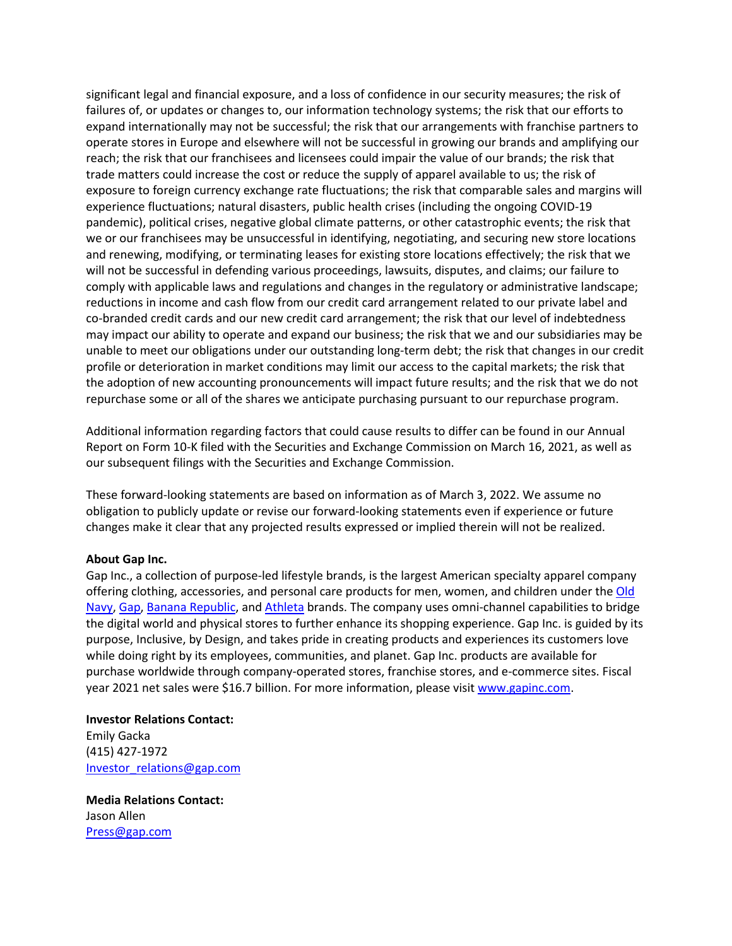significant legal and financial exposure, and a loss of confidence in our security measures; the risk of failures of, or updates or changes to, our information technology systems; the risk that our efforts to expand internationally may not be successful; the risk that our arrangements with franchise partners to operate stores in Europe and elsewhere will not be successful in growing our brands and amplifying our reach; the risk that our franchisees and licensees could impair the value of our brands; the risk that trade matters could increase the cost or reduce the supply of apparel available to us; the risk of exposure to foreign currency exchange rate fluctuations; the risk that comparable sales and margins will experience fluctuations; natural disasters, public health crises (including the ongoing COVID-19 pandemic), political crises, negative global climate patterns, or other catastrophic events; the risk that we or our franchisees may be unsuccessful in identifying, negotiating, and securing new store locations and renewing, modifying, or terminating leases for existing store locations effectively; the risk that we will not be successful in defending various proceedings, lawsuits, disputes, and claims; our failure to comply with applicable laws and regulations and changes in the regulatory or administrative landscape; reductions in income and cash flow from our credit card arrangement related to our private label and co-branded credit cards and our new credit card arrangement; the risk that our level of indebtedness may impact our ability to operate and expand our business; the risk that we and our subsidiaries may be unable to meet our obligations under our outstanding long-term debt; the risk that changes in our credit profile or deterioration in market conditions may limit our access to the capital markets; the risk that the adoption of new accounting pronouncements will impact future results; and the risk that we do not repurchase some or all of the shares we anticipate purchasing pursuant to our repurchase program.

Additional information regarding factors that could cause results to differ can be found in our Annual Report on Form 10-K filed with the Securities and Exchange Commission on March 16, 2021, as well as our subsequent filings with the Securities and Exchange Commission.

These forward-looking statements are based on information as of March 3, 2022. We assume no obligation to publicly update or revise our forward-looking statements even if experience or future changes make it clear that any projected results expressed or implied therein will not be realized.

#### **About Gap Inc.**

Gap Inc., a collection of purpose-led lifestyle brands, is the largest American specialty apparel company offering clothing, accessories, and personal care products for men, women, and children under th[e Old](https://oldnavy.gap.com/)  [Navy,](https://oldnavy.gap.com/) [Gap,](https://www.gap.com/) [Banana Republic,](https://bananarepublic.gap.com/) an[d Athleta](https://athleta.gap.com/) brands. The company uses omni-channel capabilities to bridge the digital world and physical stores to further enhance its shopping experience. Gap Inc. is guided by its purpose, Inclusive, by Design, and takes pride in creating products and experiences its customers love while doing right by its employees, communities, and planet. Gap Inc. products are available for purchase worldwide through company-operated stores, franchise stores, and e-commerce sites. Fiscal year 2021 net sales were \$16.7 billion. For more information, please visit [www.gapinc.com.](http://www.gapinc.com/)

# **Investor Relations Contact:**  Emily Gacka (415) 427-1972 [Investor\\_relations@gap.com](mailto:Investor_relations@gap.com)

**Media Relations Contact:**  Jason Allen [Press@gap.com](mailto:Press@gap.com)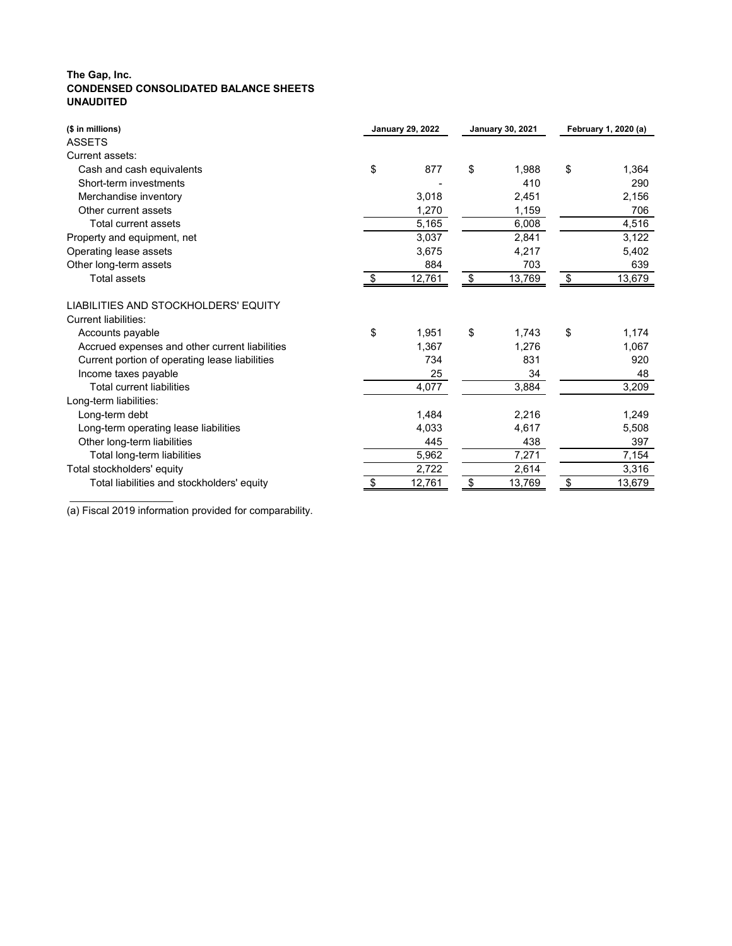# **The Gap, Inc. CONDENSED CONSOLIDATED BALANCE SHEETS UNAUDITED**

| (\$ in millions)                               | <b>January 29, 2022</b> | <b>January 30, 2021</b> |                            | February 1, 2020 (a) |
|------------------------------------------------|-------------------------|-------------------------|----------------------------|----------------------|
| <b>ASSETS</b>                                  |                         |                         |                            |                      |
| Current assets:                                |                         |                         |                            |                      |
| Cash and cash equivalents                      | \$<br>877               | \$<br>1,988             | \$                         | 1,364                |
| Short-term investments                         |                         | 410                     |                            | 290                  |
| Merchandise inventory                          | 3,018                   | 2,451                   |                            | 2,156                |
| Other current assets                           | 1,270                   | 1,159                   |                            | 706                  |
| <b>Total current assets</b>                    | 5,165                   | 6,008                   |                            | 4,516                |
| Property and equipment, net                    | 3,037                   | 2,841                   |                            | 3,122                |
| Operating lease assets                         | 3,675                   | 4,217                   |                            | 5,402                |
| Other long-term assets                         | 884                     | 703                     |                            | 639                  |
| <b>Total assets</b>                            | \$<br>12,761            | \$<br>13,769            | $\boldsymbol{\mathsf{\$}}$ | 13,679               |
| LIABILITIES AND STOCKHOLDERS' EQUITY           |                         |                         |                            |                      |
| <b>Current liabilities:</b>                    |                         |                         |                            |                      |
| Accounts payable                               | \$<br>1,951             | \$<br>1,743             | \$                         | 1,174                |
| Accrued expenses and other current liabilities | 1,367                   | 1,276                   |                            | 1,067                |
| Current portion of operating lease liabilities | 734                     | 831                     |                            | 920                  |
| Income taxes payable                           | 25                      | 34                      |                            | 48                   |
| <b>Total current liabilities</b>               | 4,077                   | 3,884                   |                            | 3,209                |
| Long-term liabilities:                         |                         |                         |                            |                      |
| Long-term debt                                 | 1,484                   | 2,216                   |                            | 1,249                |
| Long-term operating lease liabilities          | 4,033                   | 4,617                   |                            | 5,508                |
| Other long-term liabilities                    | 445                     | 438                     |                            | 397                  |
| Total long-term liabilities                    | 5,962                   | 7,271                   |                            | 7,154                |
| Total stockholders' equity                     | 2,722                   | 2,614                   |                            | 3,316                |
| Total liabilities and stockholders' equity     | \$<br>12,761            | \$<br>13,769            | $\boldsymbol{\mathsf{\$}}$ | 13,679               |

(a) Fiscal 2019 information provided for comparability.

\_\_\_\_\_\_\_\_\_\_\_\_\_\_\_\_\_\_\_\_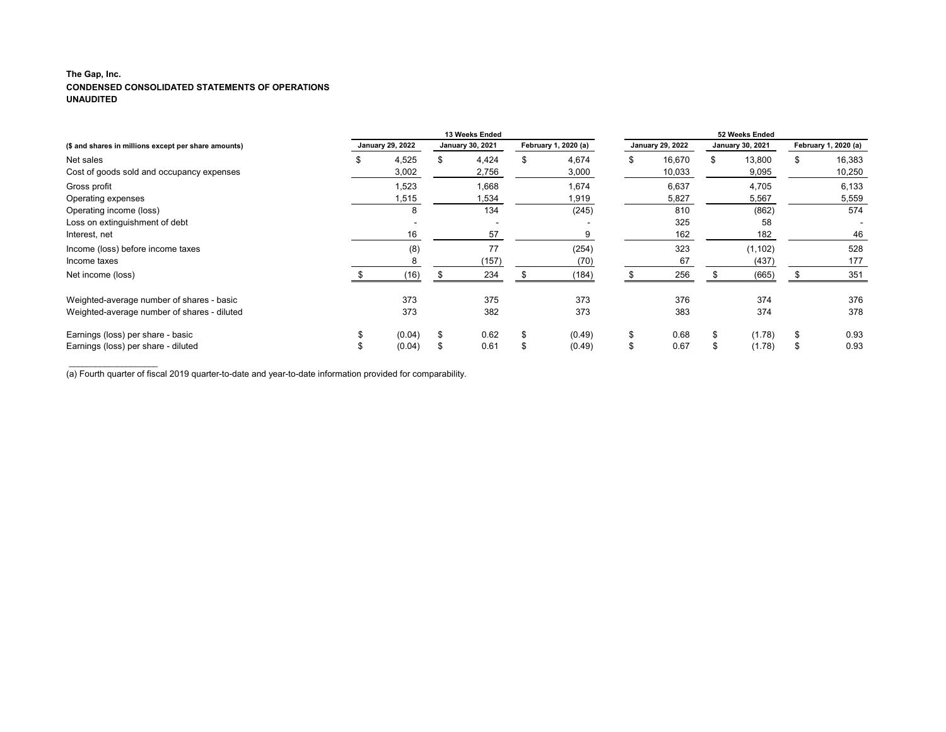# **The Gap, Inc. CONDENSED CONSOLIDATED STATEMENTS OF OPERATIONS UNAUDITED**

\_\_\_\_\_\_\_\_\_\_\_\_\_\_\_\_\_\_\_\_

|                                                      | <b>13 Weeks Ended</b> |                         |  |                         |    |                      |    | 52 Weeks Ended          |    |                         |                           |                      |  |
|------------------------------------------------------|-----------------------|-------------------------|--|-------------------------|----|----------------------|----|-------------------------|----|-------------------------|---------------------------|----------------------|--|
| (\$ and shares in millions except per share amounts) |                       | <b>January 29, 2022</b> |  | <b>January 30, 2021</b> |    | February 1, 2020 (a) |    | <b>January 29, 2022</b> |    | <b>January 30, 2021</b> |                           | February 1, 2020 (a) |  |
| Net sales                                            | ٦ħ.                   | 4,525                   |  | 4,424                   | \$ | 4,674                | \$ | 16,670                  | \$ | 13,800                  | \$                        | 16,383               |  |
| Cost of goods sold and occupancy expenses            |                       | 3,002                   |  | 2,756                   |    | 3,000                |    | 10,033                  |    | 9,095                   |                           | 10,250               |  |
| Gross profit                                         |                       | 1,523                   |  | 1,668                   |    | 1,674                |    | 6,637                   |    | 4,705                   |                           | 6,133                |  |
| Operating expenses                                   |                       | 1,515                   |  | 1,534                   |    | 1,919                |    | 5,827                   |    | 5,567                   |                           | 5,559                |  |
| Operating income (loss)                              |                       | 8                       |  | 134                     |    | (245)                |    | 810                     |    | (862)                   |                           | 574                  |  |
| Loss on extinguishment of debt                       |                       |                         |  |                         |    |                      |    | 325                     |    | 58                      |                           |                      |  |
| Interest, net                                        |                       | 16                      |  | 57                      |    |                      |    | 162                     |    | 182                     |                           | 46                   |  |
| Income (loss) before income taxes                    |                       | (8)                     |  | 77                      |    | (254)                |    | 323                     |    | (1, 102)                |                           | 528                  |  |
| Income taxes                                         |                       |                         |  | (157)                   |    | (70)                 |    | 67                      |    | (437)                   |                           | 177                  |  |
| Net income (loss)                                    |                       | (16)                    |  | 234                     |    | (184)                |    | 256                     |    | (665)                   |                           | 351                  |  |
| Weighted-average number of shares - basic            |                       | 373                     |  | 375                     |    | 373                  |    | 376                     |    | 374                     |                           | 376                  |  |
| Weighted-average number of shares - diluted          |                       | 373                     |  | 382                     |    | 373                  |    | 383                     |    | 374                     |                           | 378                  |  |
| Earnings (loss) per share - basic                    |                       | (0.04)                  |  | 0.62                    | \$ | (0.49)               | \$ | 0.68                    | \$ | (1.78)                  | $\boldsymbol{\mathsf{S}}$ | 0.93                 |  |
| Earnings (loss) per share - diluted                  |                       | (0.04)                  |  | 0.61                    | S  | (0.49)               | \$ | 0.67                    |    | (1.78)                  | \$                        | 0.93                 |  |

(a) Fourth quarter of fiscal 2019 quarter-to-date and year-to-date information provided for comparability.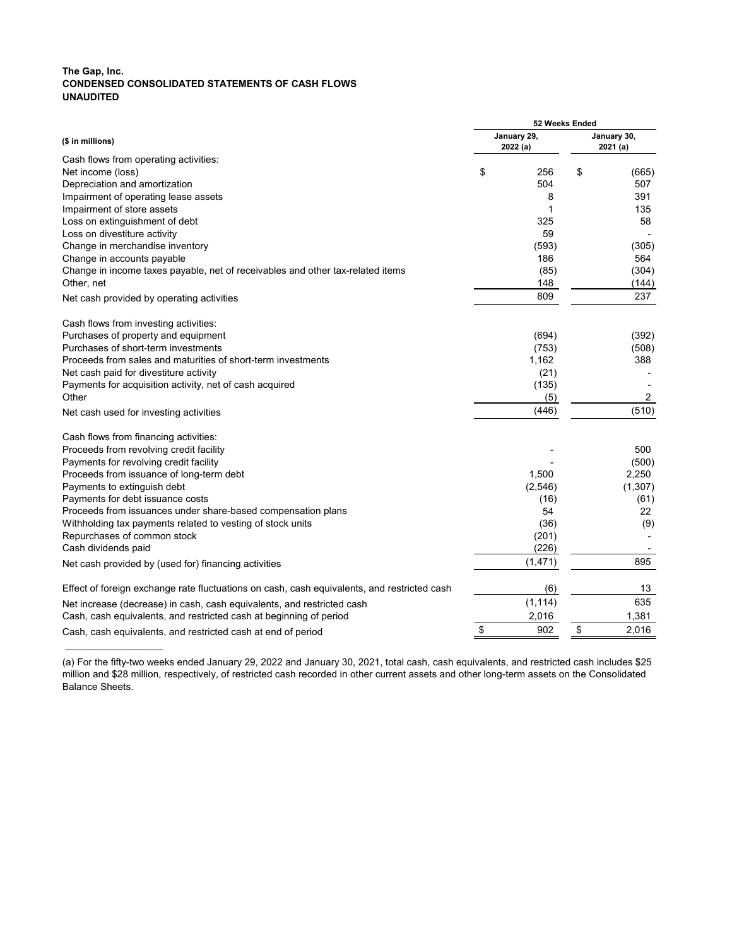# **The Gap, Inc. CONDENSED CONSOLIDATED STATEMENTS OF CASH FLOWS UNAUDITED**

|                                                                                             | 52 Weeks Ended         |                        |
|---------------------------------------------------------------------------------------------|------------------------|------------------------|
| (\$ in millions)                                                                            | January 29,<br>2022(a) | January 30,<br>2021(a) |
| Cash flows from operating activities:                                                       |                        |                        |
| Net income (loss)                                                                           | \$<br>256              | \$<br>(665)            |
| Depreciation and amortization                                                               | 504                    | 507                    |
| Impairment of operating lease assets                                                        | 8                      | 391                    |
| Impairment of store assets                                                                  |                        | 135                    |
| Loss on extinguishment of debt                                                              | 325                    | 58                     |
| Loss on divestiture activity                                                                | 59                     |                        |
| Change in merchandise inventory                                                             | (593)                  | (305)                  |
| Change in accounts payable                                                                  | 186                    | 564                    |
| Change in income taxes payable, net of receivables and other tax-related items              | (85)                   | (304)                  |
| Other, net                                                                                  | 148                    | (144)                  |
| Net cash provided by operating activities                                                   | 809                    | 237                    |
| Cash flows from investing activities:                                                       |                        |                        |
| Purchases of property and equipment                                                         | (694)                  | (392)                  |
| Purchases of short-term investments                                                         | (753)                  | (508)                  |
| Proceeds from sales and maturities of short-term investments                                | 1,162                  | 388                    |
| Net cash paid for divestiture activity                                                      | (21)                   |                        |
| Payments for acquisition activity, net of cash acquired                                     | (135)                  |                        |
| Other                                                                                       | (5)                    | $\overline{2}$         |
| Net cash used for investing activities                                                      | (446)                  | (510)                  |
| Cash flows from financing activities:                                                       |                        |                        |
| Proceeds from revolving credit facility                                                     |                        | 500                    |
| Payments for revolving credit facility                                                      |                        | (500)                  |
| Proceeds from issuance of long-term debt                                                    | 1,500                  | 2,250                  |
| Payments to extinguish debt                                                                 | (2, 546)               | (1, 307)               |
| Payments for debt issuance costs                                                            | (16)                   | (61)                   |
| Proceeds from issuances under share-based compensation plans                                | 54                     | 22                     |
| Withholding tax payments related to vesting of stock units                                  | (36)                   | (9)                    |
| Repurchases of common stock                                                                 | (201)                  |                        |
| Cash dividends paid                                                                         | (226)                  |                        |
| Net cash provided by (used for) financing activities                                        | (1,471)                | 895                    |
| Effect of foreign exchange rate fluctuations on cash, cash equivalents, and restricted cash | (6)                    | 13                     |
| Net increase (decrease) in cash, cash equivalents, and restricted cash                      | (1, 114)               | 635                    |
| Cash, cash equivalents, and restricted cash at beginning of period                          | 2,016                  | 1,381                  |
| Cash, cash equivalents, and restricted cash at end of period                                | 902                    | \$<br>2,016            |
|                                                                                             |                        |                        |

(a) For the fifty-two weeks ended January 29, 2022 and January 30, 2021, total cash, cash equivalents, and restricted cash includes \$25 million and \$28 million, respectively, of restricted cash recorded in other current assets and other long-term assets on the Consolidated Balance Sheets.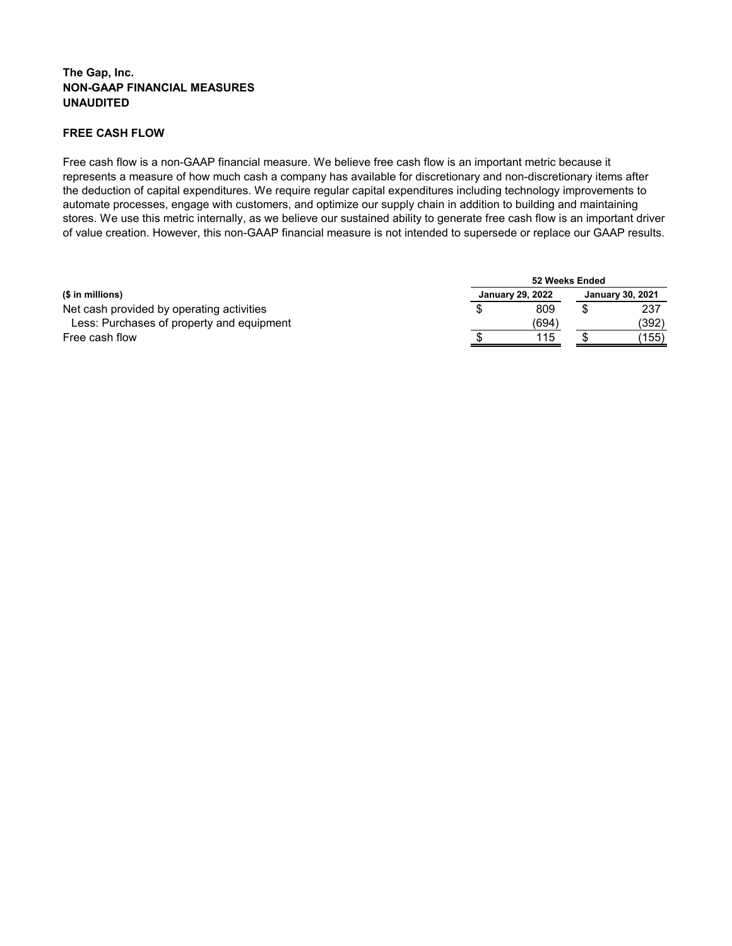# **FREE CASH FLOW**

Free cash flow is a non-GAAP financial measure. We believe free cash flow is an important metric because it represents a measure of how much cash a company has available for discretionary and non-discretionary items after the deduction of capital expenditures. We require regular capital expenditures including technology improvements to automate processes, engage with customers, and optimize our supply chain in addition to building and maintaining stores. We use this metric internally, as we believe our sustained ability to generate free cash flow is an important driver of value creation. However, this non-GAAP financial measure is not intended to supersede or replace our GAAP results.

|                                           | 52 Weeks Ended          |                         |
|-------------------------------------------|-------------------------|-------------------------|
| (\$ in millions)                          | <b>January 29, 2022</b> | <b>January 30, 2021</b> |
| Net cash provided by operating activities | 809                     | 237                     |
| Less: Purchases of property and equipment | (694)                   | (392)                   |
| Free cash flow                            | 115                     | (155)                   |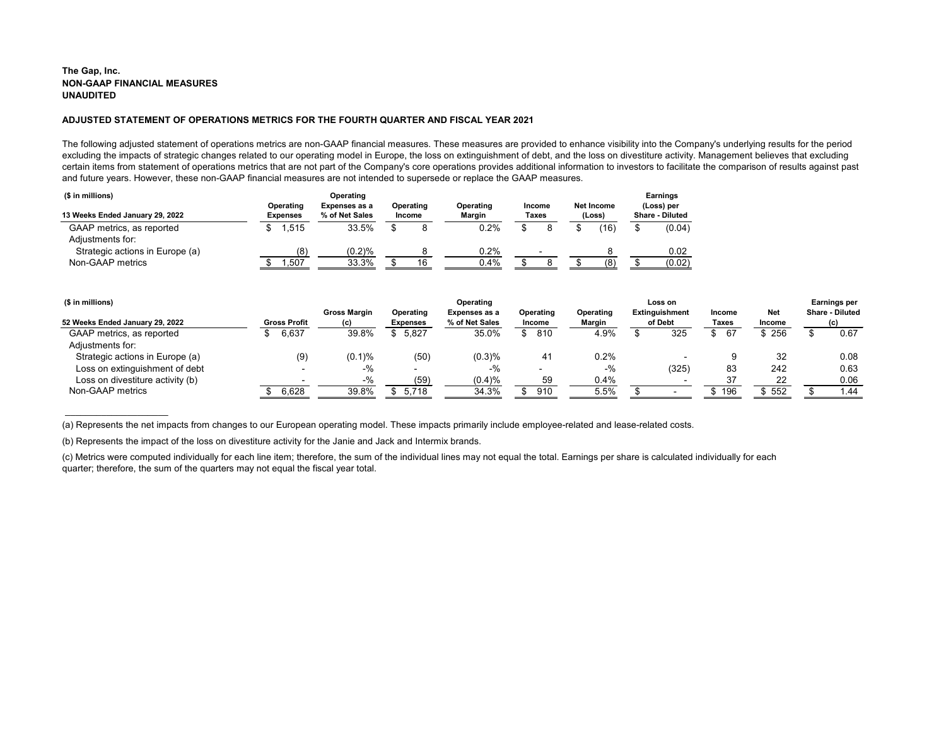$\overline{\phantom{a}}$  , where the contract of the contract of the contract of the contract of the contract of the contract of the contract of the contract of the contract of the contract of the contract of the contract of the contr

| (\$ in millions)                              |                                     | Operating                       |                            |                            |                        |                             | <b>Earnings</b>                      |
|-----------------------------------------------|-------------------------------------|---------------------------------|----------------------------|----------------------------|------------------------|-----------------------------|--------------------------------------|
| 13 Weeks Ended January 29, 2022               | <b>Operating</b><br><b>Expenses</b> | Expenses as a<br>% of Net Sales | Operating<br><b>Income</b> | Operating<br><b>Margin</b> | <b>Income</b><br>Taxes | <b>Net Income</b><br>(Loss) | (Loss) per<br><b>Share - Diluted</b> |
| GAAP metrics, as reported<br>Adjustments for: | .515                                | 33.5%                           |                            | 0.2%                       |                        | (16)                        | (0.04)                               |
| Strategic actions in Europe (a)               | (8)                                 | (0.2)%                          |                            | 0.2%                       |                        |                             | 0.02                                 |
| Non-GAAP metrics                              | .507                                | 33.3%                           | 16                         | 0.4%                       |                        | (8)                         | (0.02)                               |

|               | <b>Earnings per</b>    |
|---------------|------------------------|
| Net           | <b>Share - Diluted</b> |
| <b>Income</b> | (c)                    |
| \$256         | \$<br>0.67             |
| 32            | 0.08                   |
| 242           | 0.63                   |
| 22            | 0.06                   |
| 552           | 1 44                   |

| (\$ in millions)                 |                     |                     |                  | Operating      |                  |           | Loss on        |               |               | <b>Earnings per</b>    |
|----------------------------------|---------------------|---------------------|------------------|----------------|------------------|-----------|----------------|---------------|---------------|------------------------|
|                                  |                     | <b>Gross Margin</b> | <b>Operating</b> | Expenses as a  | <b>Operating</b> | Operating | Extinguishment | <b>Income</b> | <b>Net</b>    | <b>Share - Diluted</b> |
| 52 Weeks Ended January 29, 2022  | <b>Gross Profit</b> | (c)                 | <b>Expenses</b>  | % of Net Sales | <b>Income</b>    | Margin    | of Debt        | Taxes         | <b>Income</b> | (c)                    |
| GAAP metrics, as reported        | 6,637               | 39.8%               | 5,827<br>Ъ.      | 35.0%          | 810              | 4.9%      | 325            | 67            | 256           | 0.67                   |
| Adjustments for:                 |                     |                     |                  |                |                  |           |                |               |               |                        |
| Strategic actions in Europe (a)  | (9)                 | $(0.1)$ %           | (50)             | (0.3)%         | 41               | 0.2%      |                |               | 32            | 0.08                   |
| Loss on extinguishment of debt   |                     | -%                  | $\sim$           | $-$ %          |                  | $-$ %     | (325)          | 83            | 242           | 0.63                   |
| Loss on divestiture activity (b) |                     | $-$ %               | (59)             | (0.4)%         | 59               | 0.4%      |                |               | 22            | 0.06                   |
| Non-GAAP metrics                 | 6,628               | 39.8%               | 5,718            | 34.3%          | 910              | 5.5%      |                | $-196$        | 552           | .44                    |
|                                  |                     |                     |                  |                |                  |           |                |               |               |                        |

# **ADJUSTED STATEMENT OF OPERATIONS METRICS FOR THE FOURTH QUARTER AND FISCAL YEAR 2021**

The following adjusted statement of operations metrics are non-GAAP financial measures. These measures are provided to enhance visibility into the Company's underlying results for the period excluding the impacts of strategic changes related to our operating model in Europe, the loss on extinguishment of debt, and the loss on divestiture activity. Management believes that excluding certain items from statement of operations metrics that are not part of the Company's core operations provides additional information to investors to facilitate the comparison of results against past and future years. However, these non-GAAP financial measures are not intended to supersede or replace the GAAP measures.

(b) Represents the impact of the loss on divestiture activity for the Janie and Jack and Intermix brands.

(c) Metrics were computed individually for each line item; therefore, the sum of the individual lines may not equal the total. Earnings per share is calculated individually for each quarter; therefore, the sum of the quarters may not equal the fiscal year total.

(a) Represents the net impacts from changes to our European operating model. These impacts primarily include employee-related and lease-related costs.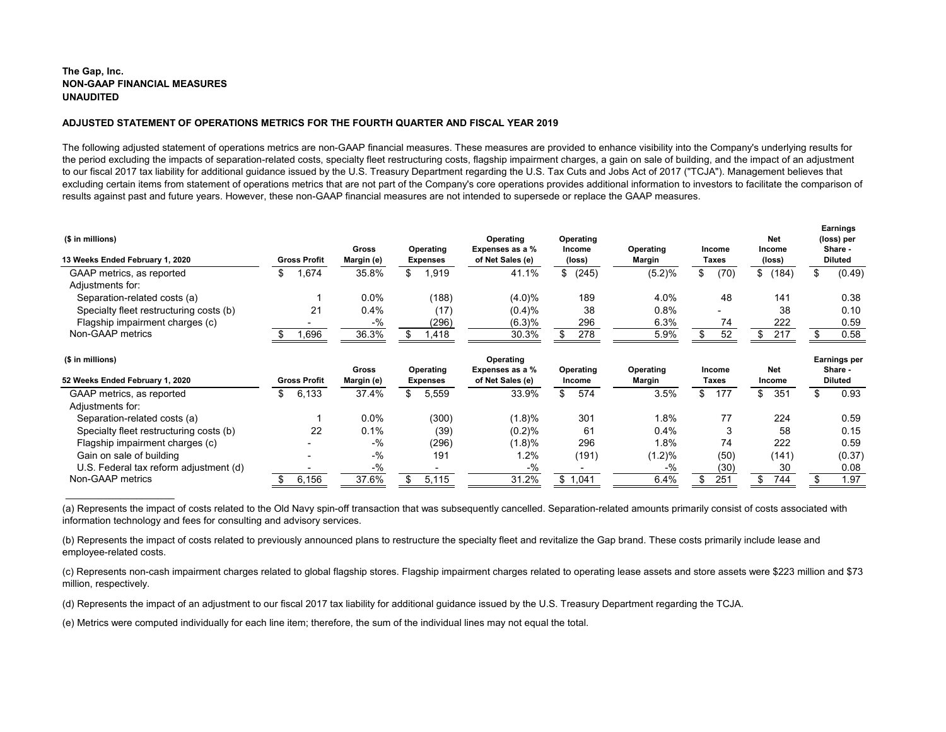\_\_\_\_\_\_\_\_\_\_\_\_\_\_\_\_\_\_\_\_

# **ADJUSTED STATEMENT OF OPERATIONS METRICS FOR THE FOURTH QUARTER AND FISCAL YEAR 2019**

The following adjusted statement of operations metrics are non-GAAP financial measures. These measures are provided to enhance visibility into the Company's underlying results for the period excluding the impacts of separation-related costs, specialty fleet restructuring costs, flagship impairment charges, a gain on sale of building, and the impact of an adjustment to our fiscal 2017 tax liability for additional guidance issued by the U.S. Treasury Department regarding the U.S. Tax Cuts and Jobs Act of 2017 ("TCJA"). Management believes that excluding certain items from statement of operations metrics that are not part of the Company's core operations provides additional information to investors to facilitate the comparison of results against past and future years. However, these non-GAAP financial measures are not intended to supersede or replace the GAAP measures.

| (\$ in millions)<br>13 Weeks Ended February 1, 2020 | <b>Gross Profit</b> | <b>Gross</b><br>Margin (e) |   | <b>Operating</b><br><b>Expenses</b> | Operating<br>Expenses as a %<br>of Net Sales (e)           | <b>Operating</b><br><b>Income</b><br>(loss) | <b>Operating</b><br>Margin                         |   | <b>Income</b><br>Taxes | <b>Net</b><br><b>Income</b><br>(loss) | Earnings<br>(loss) per<br>Share -<br><b>Diluted</b> |
|-----------------------------------------------------|---------------------|----------------------------|---|-------------------------------------|------------------------------------------------------------|---------------------------------------------|----------------------------------------------------|---|------------------------|---------------------------------------|-----------------------------------------------------|
| GAAP metrics, as reported                           | ,674                | 35.8%                      | S | ,919                                | 41.1%                                                      | \$ (245)                                    | (5.2)%                                             | J | (70)                   | (184)                                 | (0.49)                                              |
| Adjustments for:                                    |                     |                            |   |                                     |                                                            |                                             |                                                    |   |                        |                                       |                                                     |
| Separation-related costs (a)                        |                     | 0.0%                       |   | (188)                               | $(4.0)\%$                                                  | 189                                         | 4.0%                                               |   | 48                     | 141                                   | 0.38                                                |
| Specialty fleet restructuring costs (b)             | 21                  | 0.4%                       |   | (17)                                | (0.4)%                                                     | 38                                          | 0.8%                                               |   |                        | 38                                    | 0.10                                                |
| Flagship impairment charges (c)                     |                     | $-$ %                      |   | (296)                               | (6.3)%                                                     | 296                                         | 6.3%                                               |   | 74                     | 222                                   | 0.59                                                |
| Non-GAAP metrics                                    | ,696                | 36.3%                      |   | ,418                                | 30.3%                                                      | 278                                         | 5.9%                                               |   | 52                     | 217                                   | 0.58                                                |
| (\$ in millions)                                    |                     | C <sub>max</sub>           |   | $O$ <i>navatina</i>                 | <b>Operating</b><br>$E$ <i>vnannann na n</i> $\frac{0}{2}$ | $O$ navatina                                | $O$ <sub>n</sub> $S$ <sub>n</sub> $S$ <sub>1</sub> |   | <u> Inaama</u>         | <b>Mat</b>                            | <b>Earnings per</b><br><b>Chave</b>                 |

|                                         |                     |                            |                                     | --------                            |                            |                                   |                        |                      |                           |
|-----------------------------------------|---------------------|----------------------------|-------------------------------------|-------------------------------------|----------------------------|-----------------------------------|------------------------|----------------------|---------------------------|
| 52 Weeks Ended February 1, 2020         | <b>Gross Profit</b> | <b>Gross</b><br>Margin (e) | <b>Operating</b><br><b>Expenses</b> | Expenses as a %<br>of Net Sales (e) | Operating<br><b>Income</b> | <b>Operating</b><br><b>Margin</b> | <b>Income</b><br>Taxes | <b>Net</b><br>Income | Share -<br><b>Diluted</b> |
| GAAP metrics, as reported               | 6,133               | 37.4%                      | 5,559<br>\$                         | 33.9%                               | 574                        | 3.5%                              | 177                    | 351<br>\$.           | 0.93                      |
| Adjustments for:                        |                     |                            |                                     |                                     |                            |                                   |                        |                      |                           |
| Separation-related costs (a)            |                     | 0.0%                       | (300)                               | (1.8)%                              | 301                        | $.8\%$                            |                        | 224                  | 0.59                      |
| Specialty fleet restructuring costs (b) | 22                  | 0.1%                       | (39)                                | (0.2)%                              | 61                         | 0.4%                              |                        | 58                   | 0.15                      |
| Flagship impairment charges (c)         |                     | $-$ %                      | (296)                               | (1.8)%                              | 296                        | $1.8\%$                           | 74                     | 222                  | 0.59                      |
| Gain on sale of building                |                     | $-$ %                      | 191                                 | $.2\%$                              | (191)                      | $(1.2)\%$                         | (50)                   | (141)                | (0.37)                    |
| U.S. Federal tax reform adjustment (d)  |                     | $-$ %                      |                                     | $-$ %                               |                            | $-$ %                             | (30)                   | 30                   | 0.08                      |
| Non-GAAP metrics                        | 6,156               | 37.6%                      | 5.115                               | 31.2%                               | ,041                       | 6.4%                              | 251                    | 744                  | 1.97                      |
|                                         |                     |                            |                                     |                                     |                            |                                   |                        |                      |                           |

(a) Represents the impact of costs related to the Old Navy spin-off transaction that was subsequently cancelled. Separation-related amounts primarily consist of costs associated with information technology and fees for consulting and advisory services.

(b) Represents the impact of costs related to previously announced plans to restructure the specialty fleet and revitalize the Gap brand. These costs primarily include lease and employee-related costs.

(c) Represents non-cash impairment charges related to global flagship stores. Flagship impairment charges related to operating lease assets and store assets were \$223 million and \$73 million, respectively.

(d) Represents the impact of an adjustment to our fiscal 2017 tax liability for additional guidance issued by the U.S. Treasury Department regarding the TCJA.

(e) Metrics were computed individually for each line item; therefore, the sum of the individual lines may not equal the total.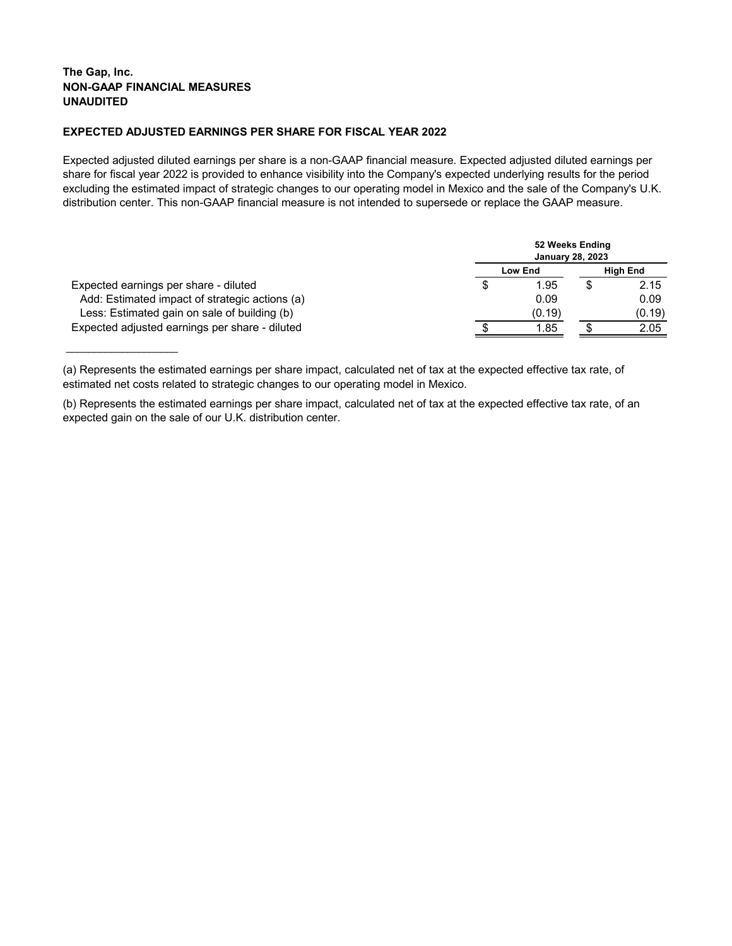\_\_\_\_\_\_\_\_\_\_\_\_\_\_\_\_\_\_\_\_

# **EXPECTED ADJUSTED EARNINGS PER SHARE FOR FISCAL YEAR 2022**

Expected adjusted diluted earnings per share is a non-GAAP financial measure. Expected adjusted diluted earnings per share for fiscal year 2022 is provided to enhance visibility into the Company's expected underlying results for the period excluding the estimated impact of strategic changes to our operating model in Mexico and the sale of the Company's U.K. distribution center. This non-GAAP financial measure is not intended to supersede or replace the GAAP measure.

|                                                |   | <b>January 28, 2023</b> | 52 Weeks Ending |                 |
|------------------------------------------------|---|-------------------------|-----------------|-----------------|
|                                                |   | <b>Low End</b>          |                 | <b>High End</b> |
| Expected earnings per share - diluted          | S | 1.95                    |                 | 2.15            |
| Add: Estimated impact of strategic actions (a) |   | 0.09                    |                 | 0.09            |
| Less: Estimated gain on sale of building (b)   |   | (0.19)                  |                 | (0.19)          |
| Expected adjusted earnings per share - diluted |   | 1.85                    |                 | 2.05            |

<sup>(</sup>a) Represents the estimated earnings per share impact, calculated net of tax at the expected effective tax rate, of estimated net costs related to strategic changes to our operating model in Mexico.

<sup>(</sup>b) Represents the estimated earnings per share impact, calculated net of tax at the expected effective tax rate, of an expected gain on the sale of our U.K. distribution center.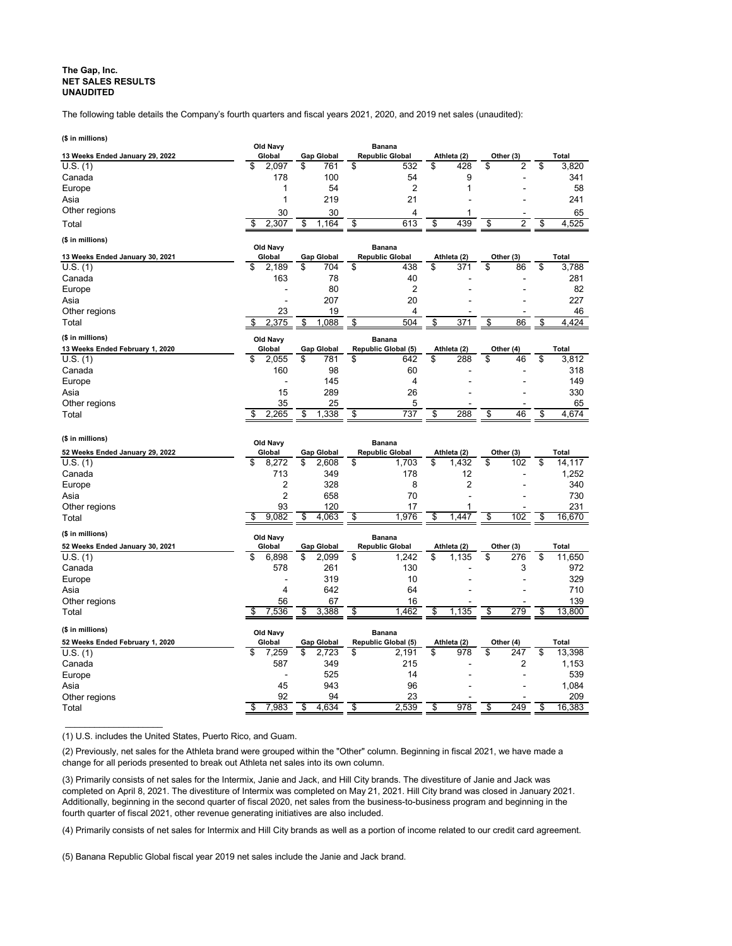# **The Gap, Inc. NET SALES RESULTS UNAUDITED**

The following table details the Company's fourth quarters and fiscal years 2021, 2020, and 2019 net sales (unaudited):

| (\$ in millions)                |                    |                         |                                         |             |                      |                     |
|---------------------------------|--------------------|-------------------------|-----------------------------------------|-------------|----------------------|---------------------|
| 13 Weeks Ended January 29, 2022 | Old Navy<br>Global | <b>Gap Global</b>       | <b>Banana</b><br><b>Republic Global</b> | Athleta (2) | Other (3)            | Total               |
| U.S. (1)                        | \$<br>2,097        | \$<br>761               | \$<br>532                               | \$<br>428   | \$<br>2              | \$<br>3,820         |
| Canada                          | 178                | 100                     | 54                                      | 9           |                      | 341                 |
| Europe                          | 1                  | 54                      | 2                                       |             |                      | 58                  |
| Asia                            | 1                  | 219                     | 21                                      |             |                      | 241                 |
| Other regions                   | 30                 | 30                      | 4                                       |             |                      | 65                  |
| Total                           | 2,307<br>\$        | 1,164<br>\$             | \$<br>613                               | 439<br>\$   | \$<br>$\overline{2}$ | \$<br>4,525         |
|                                 |                    |                         |                                         |             |                      |                     |
| (\$ in millions)                | Old Navy           |                         | <b>Banana</b>                           |             |                      |                     |
| 13 Weeks Ended January 30, 2021 | Global             | <b>Gap Global</b>       | <b>Republic Global</b>                  | Athleta (2) | Other (3)            | <b>Total</b>        |
| U.S. (1)                        | \$<br>2,189        | \$<br>704               | \$<br>438                               | \$<br>371   | \$<br>86             | \$<br>3,788         |
| Canada                          | 163                | 78                      | 40                                      |             |                      | 281                 |
| Europe                          |                    | 80                      | 2                                       |             |                      | 82                  |
| Asia                            |                    | 207                     | 20                                      |             |                      | 227                 |
| Other regions                   | 23                 | 19                      | 4                                       |             |                      | 46                  |
| Total                           | 2,375<br>\$        | 1,088<br>\$             | \$<br>504                               | \$<br>371   | \$<br>86             | 4,424<br>\$         |
|                                 |                    |                         |                                         |             |                      |                     |
| (\$ in millions)                | Old Navy           |                         | <b>Banana</b>                           |             |                      |                     |
| 13 Weeks Ended February 1, 2020 | Global             | <b>Gap Global</b>       | Republic Global (5)                     | Athleta (2) | Other (4)            | <b>Total</b>        |
| U.S. (1)                        | \$<br>2,055        | \$<br>781               | \$<br>642                               | \$<br>288   | \$<br>46             | \$<br>3,812         |
| Canada                          | 160                | 98                      | 60                                      |             |                      | 318                 |
| Europe                          |                    | 145                     | 4                                       |             |                      | 149                 |
| Asia                            | 15                 | 289                     | 26                                      |             |                      | 330                 |
| Other regions                   | 35<br>\$           | 25<br>\$<br>1,338       | 5<br>737                                | 288         | \$<br>46             | 65<br>\$<br>4,674   |
| Total                           | 2,265              |                         | \$                                      | \$          |                      |                     |
|                                 |                    |                         |                                         |             |                      |                     |
|                                 |                    |                         |                                         |             |                      |                     |
| (\$ in millions)                | Old Navy           |                         | <b>Banana</b>                           |             |                      |                     |
| 52 Weeks Ended January 29, 2022 | Global             | <b>Gap Global</b>       | <b>Republic Global</b>                  | Athleta (2) | Other (3)            | <b>Total</b>        |
| U.S. (1)                        | \$<br>8,272        | 2,608<br>\$             | \$<br>1,703                             | \$<br>1,432 | \$<br>102            | \$<br>14,117        |
| Canada                          | 713                | 349                     | 178                                     | 12          |                      | 1,252               |
| Europe                          | $\overline{c}$     | 328                     | 8                                       | 2           |                      | 340                 |
| Asia                            | $\overline{2}$     | 658                     | 70                                      |             |                      | 730                 |
| Other regions                   | 93                 | 120                     | 17                                      |             |                      | 231                 |
| Total                           | 9,082<br>\$        | 4,063<br>\$             | 1,976<br>\$                             | 1,447       | \$<br>102            | 16,670<br>\$        |
| (\$ in millions)                |                    |                         |                                         |             |                      |                     |
|                                 | Old Navy           |                         | <b>Banana</b><br><b>Republic Global</b> | Athleta (2) |                      |                     |
| 52 Weeks Ended January 30, 2021 | Global<br>\$       | <b>Gap Global</b><br>\$ |                                         | \$          | Other (3)            | <b>Total</b>        |
| U.S. (1)                        | 6,898<br>578       | 2,099                   | \$<br>1,242                             | 1,135       | \$<br>276            | \$<br>11,650        |
| Canada                          |                    | 261                     | 130                                     |             | 3                    | 972                 |
| Europe                          | 4                  | 319                     | 10                                      |             |                      | 329                 |
| Asia                            |                    | 642                     | 64                                      |             |                      | 710                 |
| Other regions                   | 56<br>7,536        | 67<br>3,388             | 16<br>1,462<br>\$                       | 1,135       | 279<br>\$            | 139<br>\$<br>13,800 |
| Total                           |                    |                         |                                         |             |                      |                     |
| (\$ in millions)                | Old Navy           |                         | <b>Banana</b>                           |             |                      |                     |
| 52 Weeks Ended February 1, 2020 | Global             | <b>Gap Global</b>       | Republic Global (5)                     | Athleta (2) | Other (4)            | <b>Total</b>        |
| U.S. (1)                        | \$<br>7,259        | \$<br>2,723             | \$<br>2,191                             | \$<br>978   | \$<br>247            | \$<br>13,398        |
| Canada                          | 587                | 349                     | 215                                     |             | $\overline{2}$       | 1,153               |
| Europe                          |                    | 525                     | 14                                      |             |                      | 539                 |
| Asia                            | 45                 | 943                     | 96                                      |             |                      | 1,084               |
| Other regions<br>Total          | 92<br>7,983<br>\$  | 94<br>\$<br>4,634       | 23<br>2,539<br>\$                       | 978<br>\$   | 249<br>\$            | 209<br>\$<br>16,383 |

(1) U.S. includes the United States, Puerto Rico, and Guam.

\_\_\_\_\_\_\_\_\_\_\_\_\_\_\_\_\_\_\_\_

(2) Previously, net sales for the Athleta brand were grouped within the "Other" column. Beginning in fiscal 2021, we have made a change for all periods presented to break out Athleta net sales into its own column.

(3) Primarily consists of net sales for the Intermix, Janie and Jack, and Hill City brands. The divestiture of Janie and Jack was completed on April 8, 2021. The divestiture of Intermix was completed on May 21, 2021. Hill City brand was closed in January 2021. Additionally, beginning in the second quarter of fiscal 2020, net sales from the business-to-business program and beginning in the fourth quarter of fiscal 2021, other revenue generating initiatives are also included.

(4) Primarily consists of net sales for Intermix and Hill City brands as well as a portion of income related to our credit card agreement.

(5) Banana Republic Global fiscal year 2019 net sales include the Janie and Jack brand.